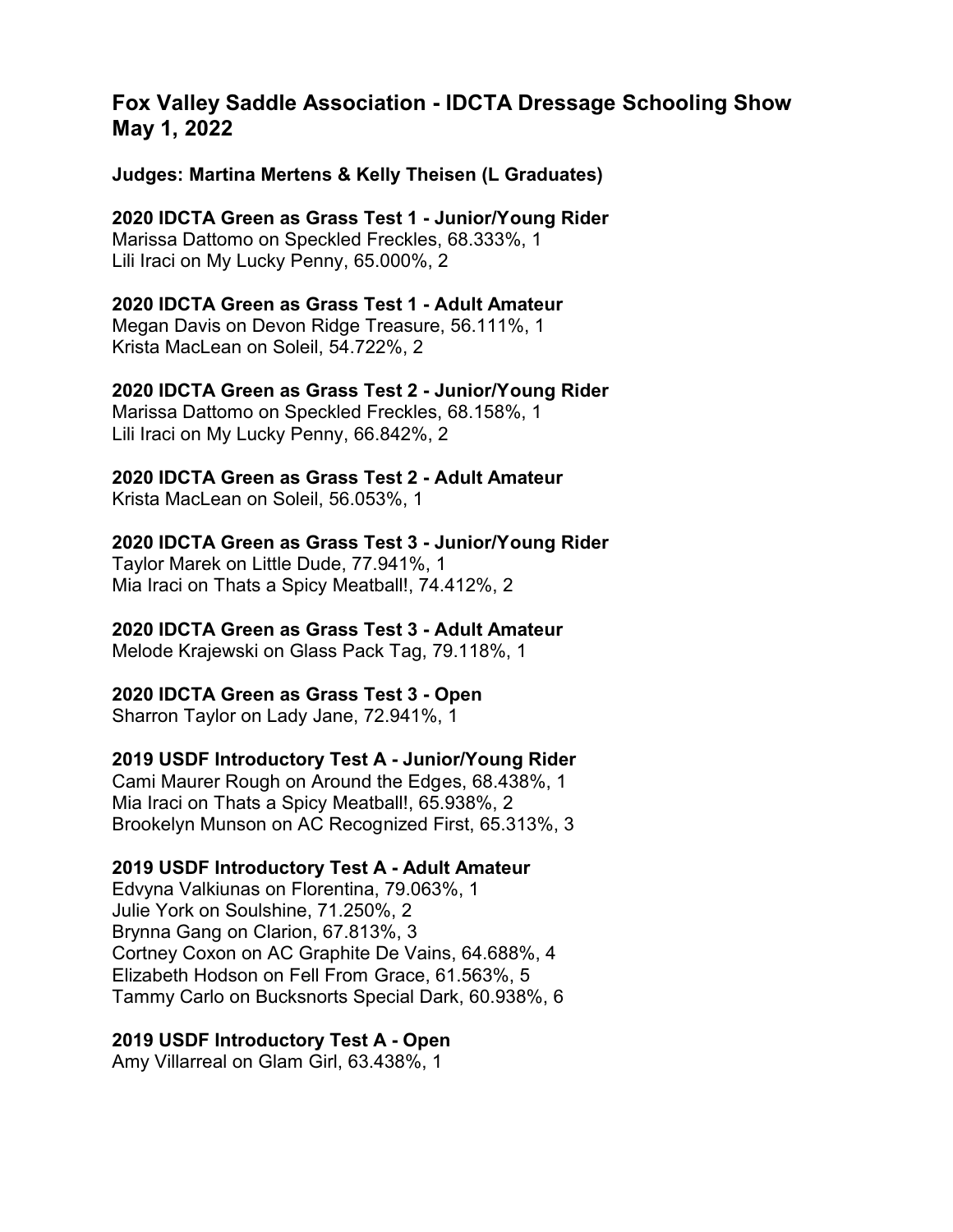# **Fox Valley Saddle Association - IDCTA Dressage Schooling Show May 1, 2022**

**Judges: Martina Mertens & Kelly Theisen (L Graduates)**

**2020 IDCTA Green as Grass Test 1 - Junior/Young Rider** Marissa Dattomo on Speckled Freckles, 68.333%, 1 Lili Iraci on My Lucky Penny, 65.000%, 2

# **2020 IDCTA Green as Grass Test 1 - Adult Amateur**

Megan Davis on Devon Ridge Treasure, 56.111%, 1 Krista MacLean on Soleil, 54.722%, 2

# **2020 IDCTA Green as Grass Test 2 - Junior/Young Rider**

Marissa Dattomo on Speckled Freckles, 68.158%, 1 Lili Iraci on My Lucky Penny, 66.842%, 2

#### **2020 IDCTA Green as Grass Test 2 - Adult Amateur**

Krista MacLean on Soleil, 56.053%, 1

#### **2020 IDCTA Green as Grass Test 3 - Junior/Young Rider**

Taylor Marek on Little Dude, 77.941%, 1 Mia Iraci on Thats a Spicy Meatball!, 74.412%, 2

#### **2020 IDCTA Green as Grass Test 3 - Adult Amateur**

Melode Krajewski on Glass Pack Tag, 79.118%, 1

#### **2020 IDCTA Green as Grass Test 3 - Open**

Sharron Taylor on Lady Jane, 72.941%, 1

#### **2019 USDF Introductory Test A - Junior/Young Rider**

Cami Maurer Rough on Around the Edges, 68.438%, 1 Mia Iraci on Thats a Spicy Meatball!, 65.938%, 2 Brookelyn Munson on AC Recognized First, 65.313%, 3

#### **2019 USDF Introductory Test A - Adult Amateur**

Edvyna Valkiunas on Florentina, 79.063%, 1 Julie York on Soulshine, 71.250%, 2 Brynna Gang on Clarion, 67.813%, 3 Cortney Coxon on AC Graphite De Vains, 64.688%, 4 Elizabeth Hodson on Fell From Grace, 61.563%, 5 Tammy Carlo on Bucksnorts Special Dark, 60.938%, 6

#### **2019 USDF Introductory Test A - Open**

Amy Villarreal on Glam Girl, 63.438%, 1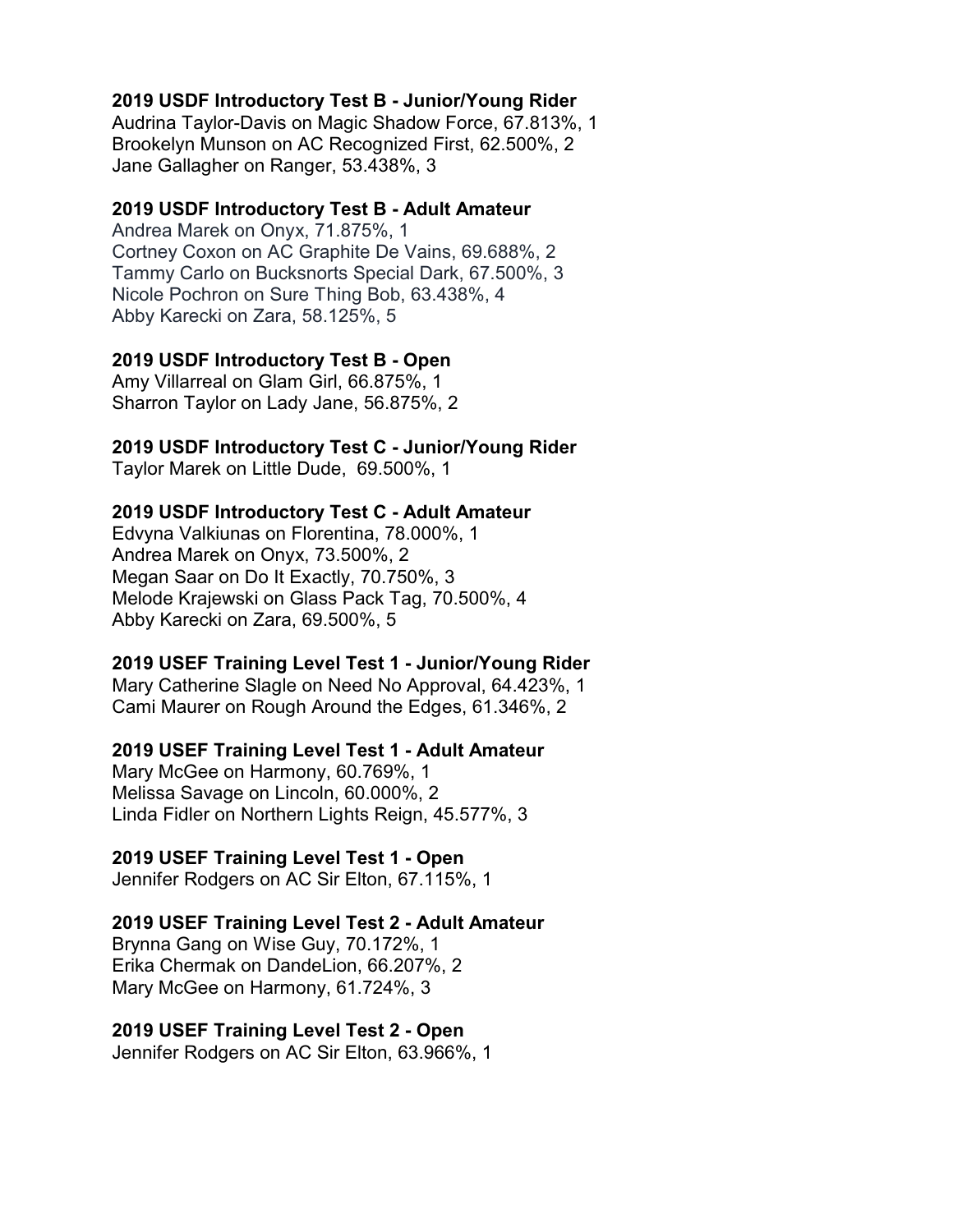# **2019 USDF Introductory Test B - Junior/Young Rider**

Audrina Taylor-Davis on Magic Shadow Force, 67.813%, 1 Brookelyn Munson on AC Recognized First, 62.500%, 2 Jane Gallagher on Ranger, 53.438%, 3

#### **2019 USDF Introductory Test B - Adult Amateur**

Andrea Marek on Onyx, 71.875%, 1 Cortney Coxon on AC Graphite De Vains, 69.688%, 2 Tammy Carlo on Bucksnorts Special Dark, 67.500%, 3 Nicole Pochron on Sure Thing Bob, 63.438%, 4 Abby Karecki on Zara, 58.125%, 5

#### **2019 USDF Introductory Test B - Open**

Amy Villarreal on Glam Girl, 66.875%, 1 Sharron Taylor on Lady Jane, 56.875%, 2

# **2019 USDF Introductory Test C - Junior/Young Rider**

Taylor Marek on Little Dude, 69.500%, 1

# **2019 USDF Introductory Test C - Adult Amateur**

Edvyna Valkiunas on Florentina, 78.000%, 1 Andrea Marek on Onyx, 73.500%, 2 Megan Saar on Do It Exactly, 70.750%, 3 Melode Krajewski on Glass Pack Tag, 70.500%, 4 Abby Karecki on Zara, 69.500%, 5

#### **2019 USEF Training Level Test 1 - Junior/Young Rider**

Mary Catherine Slagle on Need No Approval, 64.423%, 1 Cami Maurer on Rough Around the Edges, 61.346%, 2

#### **2019 USEF Training Level Test 1 - Adult Amateur**

Mary McGee on Harmony, 60.769%, 1 Melissa Savage on Lincoln, 60.000%, 2 Linda Fidler on Northern Lights Reign, 45.577%, 3

#### **2019 USEF Training Level Test 1 - Open**

Jennifer Rodgers on AC Sir Elton, 67.115%, 1

#### **2019 USEF Training Level Test 2 - Adult Amateur**

Brynna Gang on Wise Guy, 70.172%, 1 Erika Chermak on DandeLion, 66.207%, 2 Mary McGee on Harmony, 61.724%, 3

#### **2019 USEF Training Level Test 2 - Open**

Jennifer Rodgers on AC Sir Elton, 63.966%, 1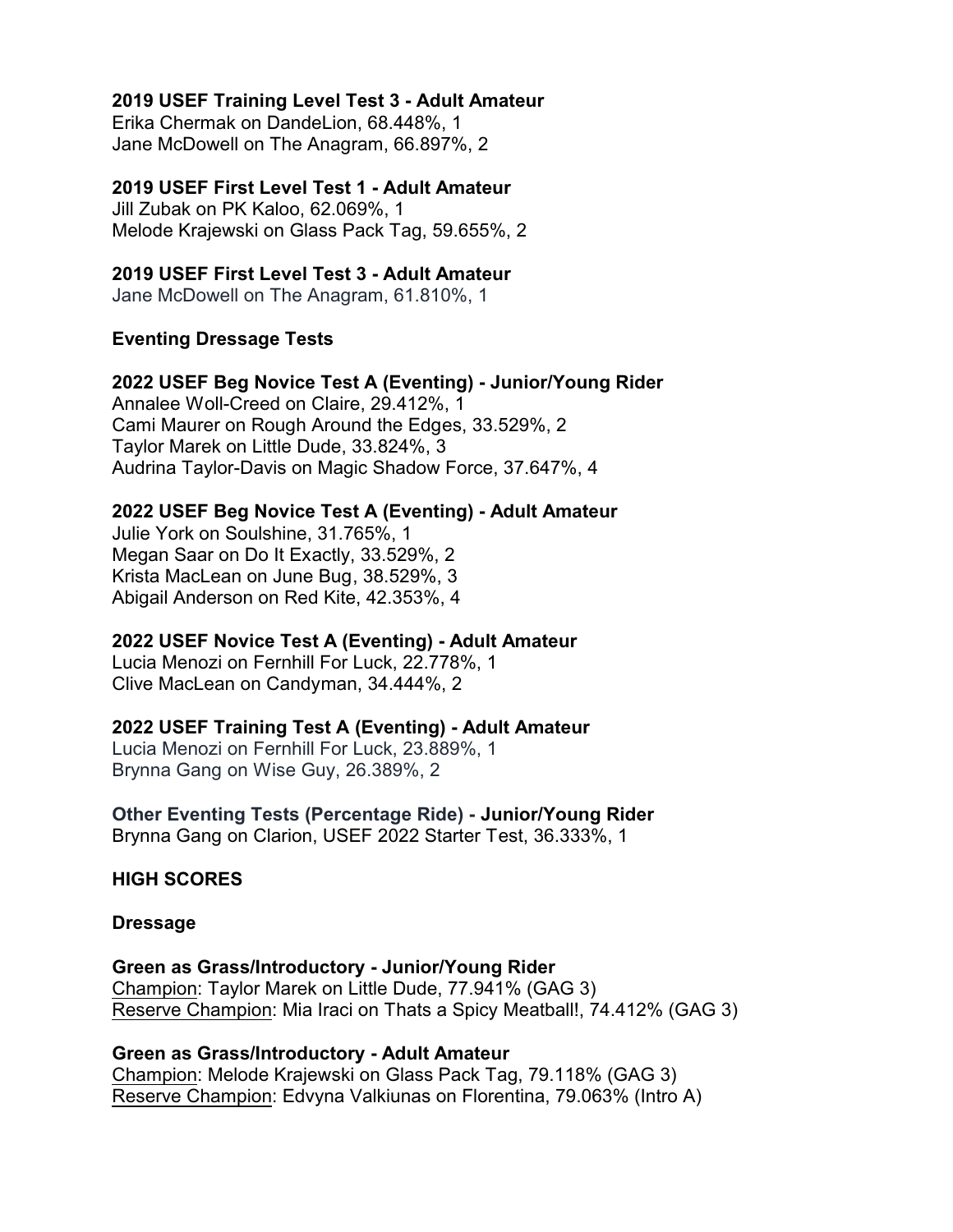## **2019 USEF Training Level Test 3 - Adult Amateur**

Erika Chermak on DandeLion, 68.448%, 1 Jane McDowell on The Anagram, 66.897%, 2

# **2019 USEF First Level Test 1 - Adult Amateur**

Jill Zubak on PK Kaloo, 62.069%, 1 Melode Krajewski on Glass Pack Tag, 59.655%, 2

# **2019 USEF First Level Test 3 - Adult Amateur**

Jane McDowell on The Anagram, 61.810%, 1

# **Eventing Dressage Tests**

#### **2022 USEF Beg Novice Test A (Eventing) - Junior/Young Rider**

Annalee Woll-Creed on Claire, 29.412%, 1 Cami Maurer on Rough Around the Edges, 33.529%, 2 Taylor Marek on Little Dude, 33.824%, 3 Audrina Taylor-Davis on Magic Shadow Force, 37.647%, 4

# **2022 USEF Beg Novice Test A (Eventing) - Adult Amateur**

Julie York on Soulshine, 31.765%, 1 Megan Saar on Do It Exactly, 33.529%, 2 Krista MacLean on June Bug, 38.529%, 3 Abigail Anderson on Red Kite, 42.353%, 4

# **2022 USEF Novice Test A (Eventing) - Adult Amateur**

Lucia Menozi on Fernhill For Luck, 22.778%, 1 Clive MacLean on Candyman, 34.444%, 2

# **2022 USEF Training Test A (Eventing) - Adult Amateur**

Lucia Menozi on Fernhill For Luck, 23.889%, 1 Brynna Gang on Wise Guy, 26.389%, 2

#### **Other Eventing Tests (Percentage Ride) - Junior/Young Rider** Brynna Gang on Clarion, USEF 2022 Starter Test, 36.333%, 1

**HIGH SCORES**

#### **Dressage**

**Green as Grass/Introductory - Junior/Young Rider** Champion: Taylor Marek on Little Dude, 77.941% (GAG 3) Reserve Champion: Mia Iraci on Thats a Spicy Meatball!, 74.412% (GAG 3)

#### **Green as Grass/Introductory - Adult Amateur**

Champion: Melode Krajewski on Glass Pack Tag, 79.118% (GAG 3) Reserve Champion: Edvyna Valkiunas on Florentina, 79.063% (Intro A)